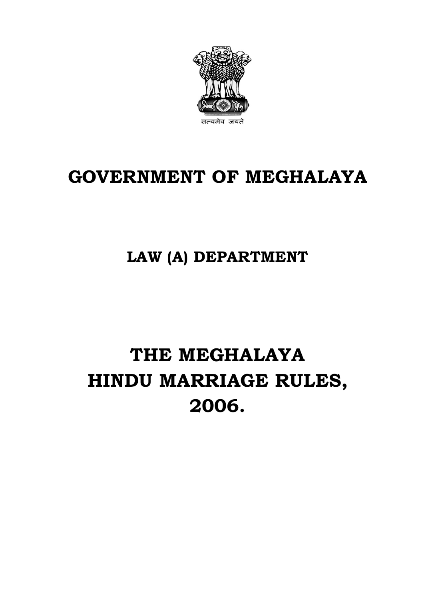

# **GOVERNMENT OF MEGHALAYA**

## **LAW (A) DEPARTMENT**

# **THE MEGHALAYA HINDU MARRIAGE RULES, 2006.**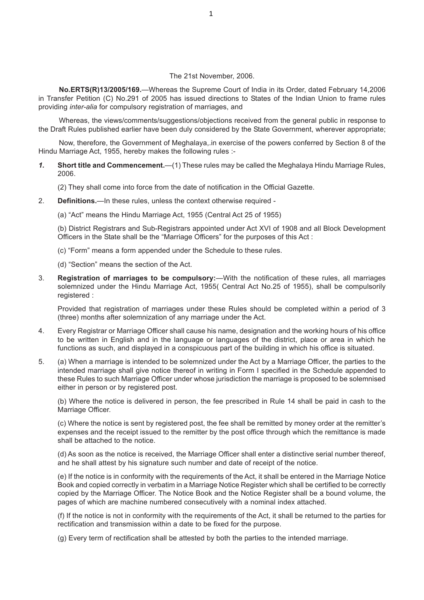#### The 21st November, 2006.

**No.ERTS(R)13/2005/169.**—Whereas the Supreme Court of India in its Order, dated February 14,2006 in Transfer Petition (C) No.291 of 2005 has issued directions to States of the Indian Union to frame rules providing *inter-alia* for compulsory registration of marriages, and

Whereas, the views/comments/suggestions/objections received from the general public in response to the Draft Rules published earlier have been duly considered by the State Government, wherever appropriate;

Now, therefore, the Government of Meghalaya,.in exercise of the powers conferred by Section 8 of the Hindu Marriage Act, 1955, hereby makes the following rules :-

*1.* **Short title and Commencement.**—(1) These rules may be called the Meghalaya Hindu Marriage Rules, 2006.

(2) They shall come into force from the date of notification in the Official Gazette.

- 2. **Definitions.***—*In these rules, unless the context otherwise required
	- (a) "Act" means the Hindu Marriage Act, 1955 (Central Act 25 of 1955)

(b) District Registrars and Sub-Registrars appointed under Act XVI of 1908 and all Block Development Officers in the State shall be the "Marriage Officers" for the purposes of this Act :

- (c) "Form" means a form appended under the Schedule to these rules.
- (d) "Section" means the section of the Act.
- 3. **Registration of marriages to be compulsory:**—With the notification of these rules, all marriages solemnized under the Hindu Marriage Act, 1955( Central Act No.25 of 1955), shall be compulsorily registered :

Provided that registration of marriages under these Rules should be completed within a period of 3 (three) months after solemnization of any marriage under the Act.

- 4. Every Registrar or Marriage Officer shall cause his name, designation and the working hours of his office to be written in English and in the language or languages of the district, place or area in which he functions as such, and displayed in a conspicuous part of the building in which his office is situated.
- 5. (a) When a marriage is intended to be solemnized under the Act by a Marriage Officer, the parties to the intended marriage shall give notice thereof in writing in Form I specified in the Schedule appended to these Rules to such Marriage Officer under whose jurisdiction the marriage is proposed to be solemnised either in person or by registered post.

(b) Where the notice is delivered in person, the fee prescribed in Rule 14 shall be paid in cash to the Marriage Officer.

(c) Where the notice is sent by registered post, the fee shall be remitted by money order at the remitter's expenses and the receipt issued to the remitter by the post office through which the remittance is made shall be attached to the notice.

(d) As soon as the notice is received, the Marriage Officer shall enter a distinctive serial number thereof, and he shall attest by his signature such number and date of receipt of the notice.

(e) If the notice is in conformity with the requirements of the Act, it shall be entered in the Marriage Notice Book and copied correctly in verbatim in a Marriage Notice Register which shall be certified to be correctly copied by the Marriage Officer. The Notice Book and the Notice Register shall be a bound volume, the pages of which are machine numbered consecutively with a nominal index attached.

(f) If the notice is not in conformity with the requirements of the Act, it shall be returned to the parties for rectification and transmission within a date to be fixed for the purpose.

(g) Every term of rectification shall be attested by both the parties to the intended marriage.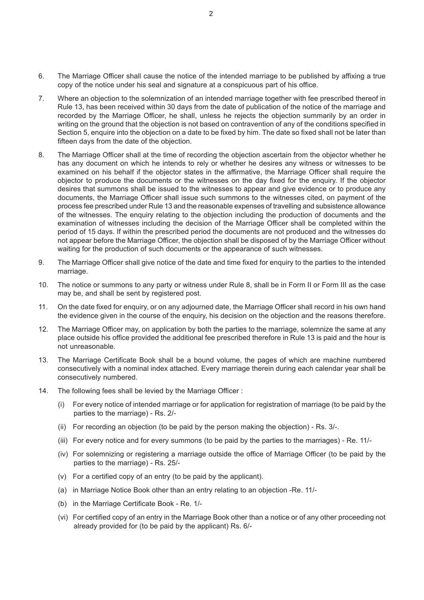- 6. The Marriage Officer shall cause the notice of the intended marriage to be published by affixing a true copy of the notice under his seal and signature at a conspicuous part of his office.
- 7. Where an objection to the solemnization of an intended marriage together with fee prescribed thereof in Rule 13, has been received within 30 days from the date of publication of the notice of the marriage and recorded by the Marriage Officer, he shall, unless he rejects the objection summarily by an order in writing on the ground that the objection is not based on contravention of any of the conditions specified in Section 5, enquire into the objection on a date to be fixed by him. The date so fixed shall not be later than fifteen days from the date of the objection.
- 8. The Marriage Officer shall at the time of recording the objection ascertain from the objector whether he has any document on which he intends to rely or whether he desires any witness or witnesses to be examined on his behalf if the objector states in the affirmative, the Marriage Officer shall require the objector to produce the documents or the witnesses on the day fixed for the enquiry. If the objector desires that summons shall be issued to the witnesses to appear and give evidence or to produce any documents, the Marriage Officer shall issue such summons to the witnesses cited, on payment of the process fee prescribed under Rule 13 and the reasonable expenses of travelling and subsistence allowance of the witnesses. The enquiry relating to the objection including the production of documents and the examination of witnesses including the decision of the Marriage Officer shall be completed within the period of 15 days. If within the prescribed period the documents are not produced and the witnesses do not appear before the Marriage Officer, the objection shall be disposed of by the Marriage Officer without waiting for the production of such documents or the appearance of such witnesses.
- 9. The Marriage Officer shall give notice of the date and time fixed for enquiry to the parties to the intended marriage.
- 10. The notice or summons to any party or witness under Rule 8, shall be in Form II or Form III as the case may be, and shall be sent by registered post.
- 11. On the date fixed for enquiry, or on any adjourned date, the Marriage Officer shall record in his own hand the evidence given in the course of the enquiry, his decision on the objection and the reasons therefore.
- 12. The Marriage Officer may, on application by both the parties to the marriage, solemnize the same at any place outside his office provided the additional fee prescribed therefore in Rule 13 is paid and the hour is not unreasonable.
- 13. The Marriage Certificate Book shall be a bound volume, the pages of which are machine numbered consecutively with a nominal index attached. Every marriage therein during each calendar year shall be consecutively numbered.
- 14. The following fees shall be levied by the Marriage Officer :
	- (i) For every notice of intended marriage or for application for registration of marriage (to be paid by the parties to the marriage) - Rs. 2/-
	- (ii) For recording an objection (to be paid by the person making the objection) Rs.  $3/-$ .
	- (iii) For every notice and for every summons (to be paid by the parties to the marriages) Re. 11/-
	- (iv) For solemnizing or registering a marriage outside the office of Marriage Officer (to be paid by the parties to the marriage) - Rs. 25/-
	- (v) For a certified copy of an entry (to be paid by the applicant).
	- (a) in Marriage Notice Book other than an entry relating to an objection -Re. 11/-
	- (b) in the Marriage Certificate Book Re. 1/-
	- (vi) For certified copy of an entry in the Marriage Book other than a notice or of any other proceeding not already provided for (to be paid by the applicant) Rs. 6/-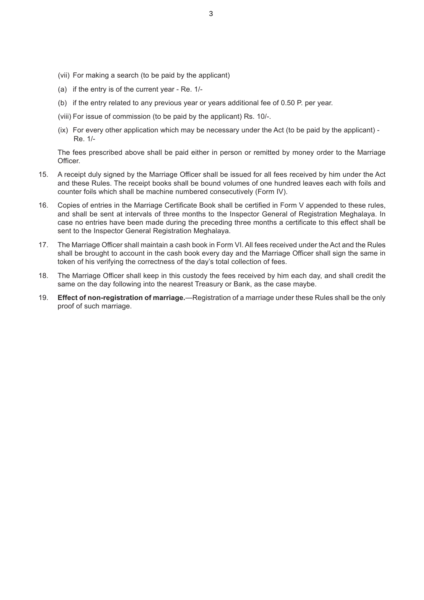- (vii) For making a search (to be paid by the applicant)
- (a) if the entry is of the current year Re. 1/-
- (b) if the entry related to any previous year or years additional fee of 0.50 P. per year.
- (viii) For issue of commission (to be paid by the applicant) Rs. 10/-.
- (ix) For every other application which may be necessary under the Act (to be paid by the applicant) Re. 1/-

The fees prescribed above shall be paid either in person or remitted by money order to the Marriage Officer.

- 15. A receipt duly signed by the Marriage Officer shall be issued for all fees received by him under the Act and these Rules. The receipt books shall be bound volumes of one hundred leaves each with foils and counter foils which shall be machine numbered consecutively (Form IV).
- 16. Copies of entries in the Marriage Certificate Book shall be certified in Form V appended to these rules, and shall be sent at intervals of three months to the Inspector General of Registration Meghalaya. In case no entries have been made during the preceding three months a certificate to this effect shall be sent to the Inspector General Registration Meghalaya.
- 17. The Marriage Officer shall maintain a cash book in Form VI. All fees received under the Act and the Rules shall be brought to account in the cash book every day and the Marriage Officer shall sign the same in token of his verifying the correctness of the day's total collection of fees.
- 18. The Marriage Officer shall keep in this custody the fees received by him each day, and shall credit the same on the day following into the nearest Treasury or Bank, as the case maybe.
- 19. **Effect of non-registration of marriage.**—Registration of a marriage under these Rules shall be the only proof of such marriage.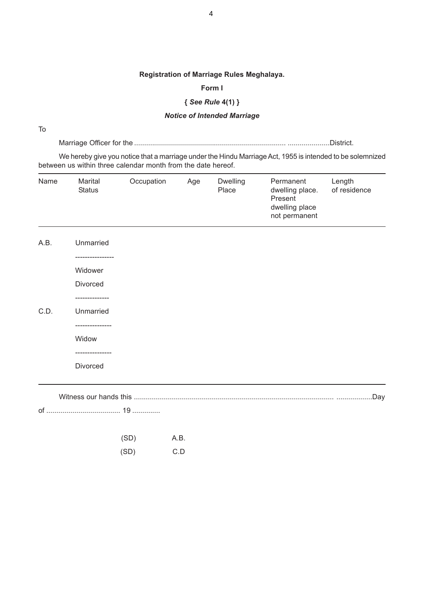#### **Registration of Marriage Rules Meghalaya.**

#### **Form I**

## **{** *See Rule* **4(1) }**

#### *Notice of Intended Marriage*

To

Marriage Officer for the ............................................................................ .....................District.

We hereby give you notice that a marriage under the Hindu Marriage Act, 1955 is intended to be solemnized between us within three calendar month from the date hereof.

| Name | Marital<br><b>Status</b> | Occupation | Age | Dwelling<br>Place | Permanent<br>dwelling place.<br>Present<br>dwelling place<br>not permanent | Length<br>of residence |
|------|--------------------------|------------|-----|-------------------|----------------------------------------------------------------------------|------------------------|
| A.B. | Unmarried                |            |     |                   |                                                                            |                        |
|      | -------------<br>Widower |            |     |                   |                                                                            |                        |
|      | Divorced                 |            |     |                   |                                                                            |                        |
| C.D. | -----------<br>Unmarried |            |     |                   |                                                                            |                        |
|      | ------------<br>Widow    |            |     |                   |                                                                            |                        |
|      | Divorced                 |            |     |                   |                                                                            |                        |
|      |                          |            |     |                   |                                                                            |                        |
|      |                          |            |     |                   |                                                                            |                        |

| (SD) | A.B. |
|------|------|
| (SD) | C.D  |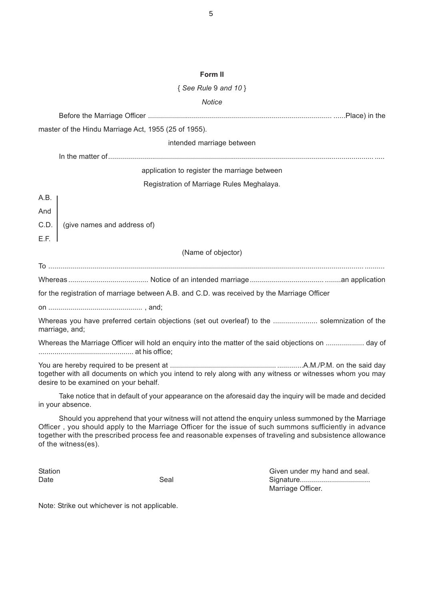#### **Form II**

#### { *See Rule* 9 *and 10* }

#### *Notice*

Before the Marriage Officer ............................................................................................ ......Place) in the master of the Hindu Marriage Act, 1955 (25 of 1955). intended marriage between In the matter of..................................................................................................................................... ..... application to register the marriage between Registration of Marriage Rules Meghalaya. A.B. And C.D. (give names and address of) E.F. (Name of objector) To .............................................................................................................................................................. .......... Whereas ........................................ Notice of an intended marriage..................................... ........an application for the registration of marriage between A.B. and C.D. was received by the Marriage Officer on ............................................... , and; Whereas you have preferred certain objections (set out overleaf) to the ...................... solemnization of the marriage, and; Whereas the Marriage Officer will hold an enquiry into the matter of the said objections on ................... day of ............................................... at his office; You are hereby required to be present at ..................................................... .............A.M./P.M. on the said day together with all documents on which you intend to rely along with any witness or witnesses whom you may desire to be examined on your behalf. Take notice that in default of your appearance on the aforesaid day the inquiry will be made and decided in your absence. Should you apprehend that your witness will not attend the enquiry unless summoned by the Marriage Officer , you should apply to the Marriage Officer for the issue of such summons sufficiently in advance together with the prescribed process fee and reasonable expenses of traveling and subsistence allowance

of the witness(es).

Station Given under my hand and seal. Date Seal Signature................................... Marriage Officer.

Note: Strike out whichever is not applicable.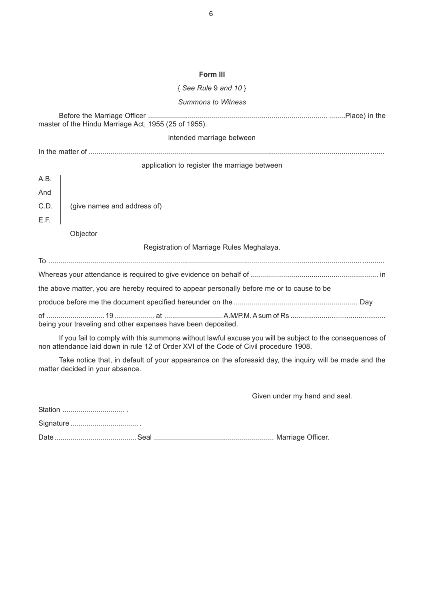#### **Form III**

#### { *See Rule* 9 *and 10* }

#### *Summons to Witness*

| master of the Hindu Marriage Act, 1955 (25 of 1955).                                                                                                                                              |  |  |  |  |
|---------------------------------------------------------------------------------------------------------------------------------------------------------------------------------------------------|--|--|--|--|
| intended marriage between                                                                                                                                                                         |  |  |  |  |
|                                                                                                                                                                                                   |  |  |  |  |
| application to register the marriage between                                                                                                                                                      |  |  |  |  |
| A.B.                                                                                                                                                                                              |  |  |  |  |
| And                                                                                                                                                                                               |  |  |  |  |
| C.D.<br>(give names and address of)                                                                                                                                                               |  |  |  |  |
| E.F.                                                                                                                                                                                              |  |  |  |  |
| Objector                                                                                                                                                                                          |  |  |  |  |
| Registration of Marriage Rules Meghalaya.                                                                                                                                                         |  |  |  |  |
|                                                                                                                                                                                                   |  |  |  |  |
|                                                                                                                                                                                                   |  |  |  |  |
| the above matter, you are hereby required to appear personally before me or to cause to be                                                                                                        |  |  |  |  |
|                                                                                                                                                                                                   |  |  |  |  |
| being your traveling and other expenses have been deposited.                                                                                                                                      |  |  |  |  |
| If you fail to comply with this summons without lawful excuse you will be subject to the consequences of<br>non attendance laid down in rule 12 of Order XVI of the Code of Civil procedure 1908. |  |  |  |  |

Take notice that, in default of your appearance on the aforesaid day, the inquiry will be made and the matter decided in your absence.

Given under my hand and seal.

Station ............................... .

Signature .................................. .

Date......................................... Seal ............................................................ Marriage Officer.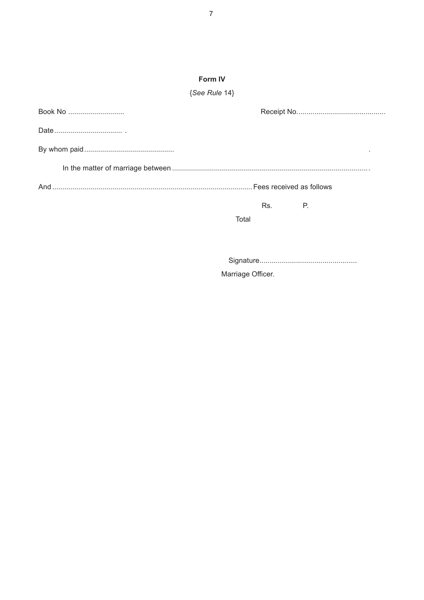## Form IV

## $\{See \, Rule \, 14\}$

| Book No |           |  |
|---------|-----------|--|
|         |           |  |
|         |           |  |
|         |           |  |
|         |           |  |
|         | Rs.<br>Р. |  |
|         | Total     |  |
|         |           |  |
|         |           |  |

Marriage Officer.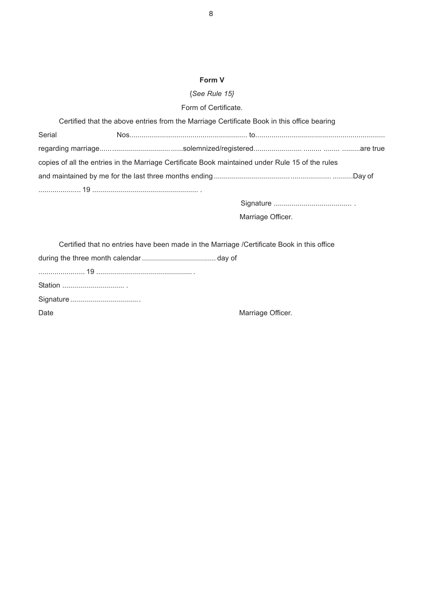### **Form V**

## {*See Rule 15}*

Form of Certificate.

| Certified that the above entries from the Marriage Certificate Book in this office bearing       |  |  |  |  |
|--------------------------------------------------------------------------------------------------|--|--|--|--|
| Serial                                                                                           |  |  |  |  |
|                                                                                                  |  |  |  |  |
| copies of all the entries in the Marriage Certificate Book maintained under Rule 15 of the rules |  |  |  |  |
|                                                                                                  |  |  |  |  |
|                                                                                                  |  |  |  |  |

Signature ....................................... .

Marriage Officer.

| Certified that no entries have been made in the Marriage /Certificate Book in this office |                   |  |  |  |
|-------------------------------------------------------------------------------------------|-------------------|--|--|--|
|                                                                                           |                   |  |  |  |
|                                                                                           |                   |  |  |  |
|                                                                                           |                   |  |  |  |
|                                                                                           |                   |  |  |  |
| Date                                                                                      | Marriage Officer. |  |  |  |